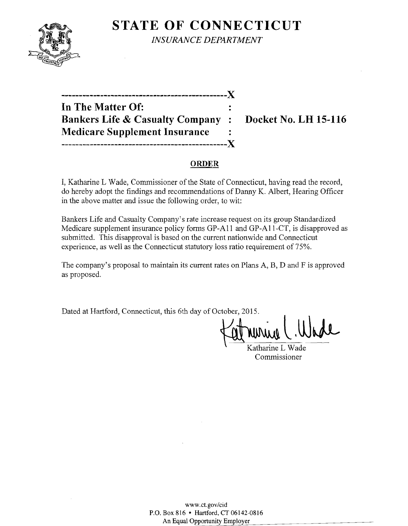

**STATE OF CONNECTICUT** *INSURANCE DEPARTMENT* 

**-----------------------------------------------)( In The Matter Of: Bankers Life & Casualty Company: Docket No. LH 15-116 Medicare Supplement Insurance -----------------------------------------------)(** 

#### **ORDER**

I, Katharine L Wade, Commissioner of the State of Connecticut, having read the record, do hereby adopt the findings and recommendations of Danny K. Albert, Hearing Officer in the above matter and issue the following order, to wit:

Bankers Life and Casualty Company's rate increase request on its group Standardized Medicare supplement insurance policy forms GP-All and GP-Al1-CT, is disapproved as submitted. This disapproval is based on the current nationwide and Connecticut experience, as well as the Connecticut statutory loss ratio requirement of 75%.

The company's proposal to maintain its current rates on Plans A, B, D and F is approved as proposed.

Dated at Hartford, Connecticut, this 6th day of October, 2015.

Katharine L Wade Commissioner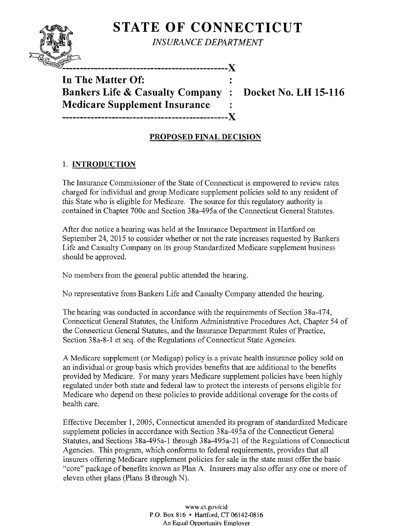

**STATE OF CONNECTICUT** 

*INSURANCE DEPARTMENT* 

**In The Matter Of: Bankers Life & Casualty Company : Docket No. LH 15-116 Medicare Supplement Insurance -----------------------------------------------)(** 

# **PROPOSED FINAL DECISION**

## 1. **INTRODUCTION**

The Insurance Commissioner of the State of Connecticut is empowered to review rates charged for individual and group Medicare supplement policies sold to any resident of this State who is eligible for Medicare. The source for this regulatory authority is contained in Chapter 700c and Section 38a-495a of the Connecticut General Statutes.

After due notice a hearing was held at the Insurance Department in Hartford on September 24,2015 to consider whether or not the rate increases requested by Bankers Life and Casualty Company on its group Standardized Medicare supplement business should be approved.

No members from the general public attended the hearing.

No representative from Bankers Life and Casualty Company attended the hearing.

The hearing was conducted in accordance with the requirements of Section 38a-474, Connecticut General Statutes, the Uniform Administrative Procedures Act, Chapter 54 of the Connecticut General Statutes, and the Insurance Department Rules of Practice, Section 38a-8-1 et seq. of the Regulations of Connecticut State Agencies.

A Medicare supplement (or Medigap) policy is a private health insurance policy sold on an individual or group basis which provides benefits that are additional to the benefits provided by Medicare. For many years Medicare supplement policies have been highly regulated under both state and federal law to protect the interests of persons eligible for Medicare who depend on these policies to provide additional coverage for the costs of health care.

Effective December 1,2005, Connecticut amended its program of standardized Medicare supplement policies in accordance with Section 38a-495a of the Connecticut General Statutes, and Sections 38a-495a-1 through 38a-495a-21 of the Regulations of Connecticut Agencies. This program, which conforms to federal requirements, provides that all insurers offering Medicare supplement policies for sale in the state must offer the basic "core" package of benefits known as Plan A. Insurers may also offer any one or more of eleven other plans (Plans B through N).

> www.ct.gov/cid P.O. Box 816 • Hartford, CT 06142-0816 An Equal Opportunity Employer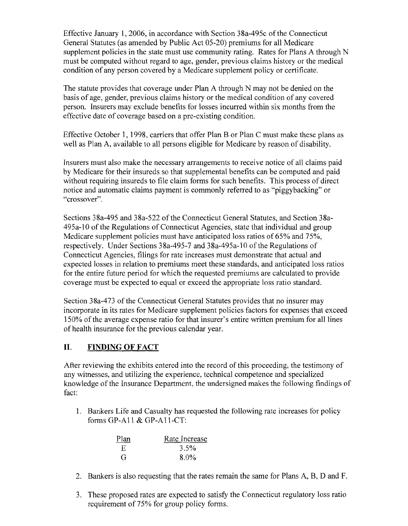Effective January 1,2006, in accordance with Section 38a-495c of the Connecticut General Statutes (as amended by Public Act 05-20) premiums for all Medicare supplement policies in the state must use community rating. Rates for Plans A through N must be computed without regard to age, gender, previous claims history or the medical condition of any person covered by a Medicare supplement policy or certificate.

The statute provides that coverage under Plan A through N may not be denied on the basis of age, gender, previous claims history or the medical condition of any covered person. Insurers may exclude benefits for losses incurred within six months from the effective date of coverage based on a pre-existing condition.

Effective October 1, 1998, carriers that offer Plan B or Plan C must make these plans as well as Plan A, available to all persons eligible for Medicare by reason of disability.

Insurers must also make the necessary arrangements to receive notice of all claims paid by Medicare for their insureds so that supplemental benefits can be computed and paid without requiring insureds to file claim forms for such benefits. This process of direct notice and automatic claims payment is commonly referred to as "piggybacking" or "crossover".

Sections 38a-495 and 38a-522 of the Connecticut General Statutes, and Section 38a-495a-lO of the Regulations of Connecticut Agencies, state that individual and group Medicare supplement policies must have anticipated loss ratios of 65% and 75%, respectively. Under Sections 38a-495-7 and 38a-495a-lO of the Regulations of Connecticut Agencies, filings for rate increases must demonstrate that actual and expected losses in relation to premiums meet these standards, and anticipated loss ratios for the entire future period for which the requested premiums are calculated to provide coverage must be expected to equal or exceed the appropriate loss ratio standard.

Section 38a-473 of the Connecticut General Statutes provides that no insurer may incorporate in its rates for Medicare supplement policies factors for expenses that exceed 150% of the average expense ratio for that insurer's entire written premium for all lines of health insurance for the previous calendar year.

## **II. FINDING OF FACT**

After reviewing the exhibits entered into the record of this proceeding, the testimony of any witnesses, and utilizing the experience, technical competence and specialized knowledge of the Insurance Department, the undersigned makes the following findings of fact:

1. Bankers Life and Casualty has requested the following rate increases for policy forms GP-A11 & GP-A11-CT:

| Plan | Rate Increase |
|------|---------------|
| E    | 3.5%          |
| G    | $8.0\%$       |

- 2. Bankers is also requesting that the rates remain the same for Plans A, B, D and F.
- 3. These proposed rates are expected to satisfy the Connecticut regulatory loss ratio requirement of 75% for group policy forms.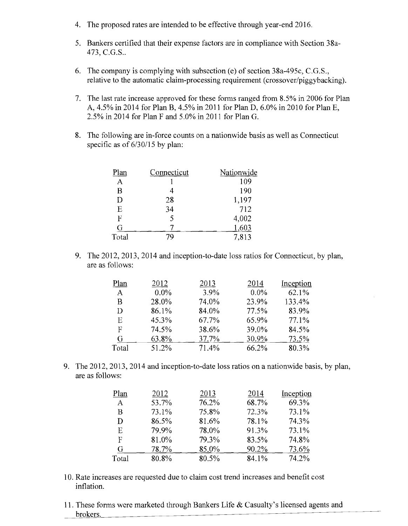- 4. The proposed rates are intended to be effective through year-end 2016.
- 5. Bankers certified that their expense factors are in compliance with Section 38a-473, e.G.S..
- 6. The company is complying with subsection (e) of section 38a-495c, C.G.S., relative to the automatic claim-processing requirement (crossover/piggybacking).
- 7. The last rate increase approved for these forms ranged from 8.5% in 2006 for Plan A, 4.5% in 2014 for Plan B, 4.5% in 2011 for Plan D, 6.0% in 2010 for Plan E, 2.5% in 2014 for Plan F and 5.0% in 2011 for Plan G.
- 8. The following are in-force counts on a nationwide basis as well as Connecticut specific as of  $6/30/15$  by plan:

| Plan  | Connecticut | Nationwide |
|-------|-------------|------------|
| A     |             | 109        |
| B     |             | 190        |
| D     | 28          | 1,197      |
| E     | 34          | 712        |
| F     | 5           | 4,002      |
| G     |             | 1,603      |
| Total |             | 7,813      |

9. The 2012, 2013, 2014 and inception-to-date loss ratios for Connecticut, by plan, are as follows:

| Plan  | 2012    | 2013  | 2014    | Inception |
|-------|---------|-------|---------|-----------|
| A     | $0.0\%$ | 3.9%  | $0.0\%$ | 62.1%     |
| B     | 28.0%   | 74.0% | 23.9%   | 133.4%    |
| D     | 86.1%   | 84.0% | 77.5%   | 83.9%     |
| Е     | 45.3%   | 67.7% | 65.9%   | 77.1%     |
| F     | 74.5%   | 38.6% | 39.0%   | 84.5%     |
| G     | 63.8%   | 37.7% | 30.9%   | 73.5%     |
| Total | 51.2%   | 71.4% | 66.2%   | 80.3%     |

9. The 2012, 2013, 2014 and inception-to-date loss ratios on a nationwide basis, by plan, are as follows:

| Plan  | 2012  | 2013  | 2014  | Inception |
|-------|-------|-------|-------|-----------|
| A     | 53.7% | 76.2% | 68.7% | 69.3%     |
| В     | 73.1% | 75.8% | 72.3% | 73.1%     |
| D     | 86.5% | 81.6% | 78.1% | 74.3%     |
| E     | 79.9% | 78.0% | 91.3% | 73.1%     |
| F     | 81.0% | 79.3% | 83.5% | 74.8%     |
| G     | 78.7% | 85.0% | 90.2% | 73.6%     |
| Total | 80.8% | 80.5% | 84.1% | 74.2%     |

- 10. Rate increases are requested due to claim cost trend increases and benefit cost inflation.
- 11. These forms were marketed through Bankers Life & Casualty's licensed agents and brokers.